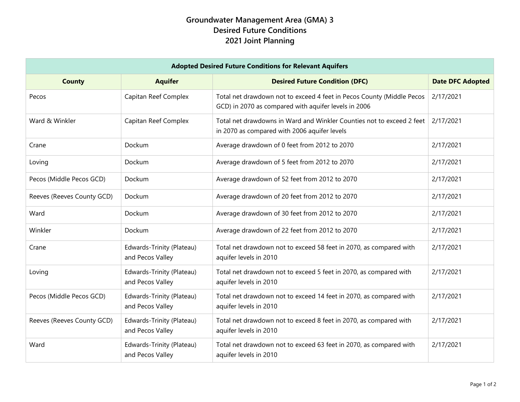## **Groundwater Management Area (GMA) 3 Desired Future Conditions 2021 Joint Planning**

| <b>Adopted Desired Future Conditions for Relevant Aquifers</b> |                                               |                                                                                                                               |                         |  |  |
|----------------------------------------------------------------|-----------------------------------------------|-------------------------------------------------------------------------------------------------------------------------------|-------------------------|--|--|
| <b>County</b>                                                  | <b>Aquifer</b>                                | <b>Desired Future Condition (DFC)</b>                                                                                         | <b>Date DFC Adopted</b> |  |  |
| Pecos                                                          | Capitan Reef Complex                          | Total net drawdown not to exceed 4 feet in Pecos County (Middle Pecos<br>GCD) in 2070 as compared with aquifer levels in 2006 | 2/17/2021               |  |  |
| Ward & Winkler                                                 | Capitan Reef Complex                          | Total net drawdowns in Ward and Winkler Counties not to exceed 2 feet<br>in 2070 as compared with 2006 aquifer levels         | 2/17/2021               |  |  |
| Crane                                                          | Dockum                                        | Average drawdown of 0 feet from 2012 to 2070                                                                                  | 2/17/2021               |  |  |
| Loving                                                         | Dockum                                        | Average drawdown of 5 feet from 2012 to 2070                                                                                  | 2/17/2021               |  |  |
| Pecos (Middle Pecos GCD)                                       | Dockum                                        | Average drawdown of 52 feet from 2012 to 2070                                                                                 | 2/17/2021               |  |  |
| Reeves (Reeves County GCD)                                     | Dockum                                        | Average drawdown of 20 feet from 2012 to 2070                                                                                 | 2/17/2021               |  |  |
| Ward                                                           | Dockum                                        | Average drawdown of 30 feet from 2012 to 2070                                                                                 | 2/17/2021               |  |  |
| Winkler                                                        | Dockum                                        | Average drawdown of 22 feet from 2012 to 2070                                                                                 | 2/17/2021               |  |  |
| Crane                                                          | Edwards-Trinity (Plateau)<br>and Pecos Valley | Total net drawdown not to exceed 58 feet in 2070, as compared with<br>aquifer levels in 2010                                  | 2/17/2021               |  |  |
| Loving                                                         | Edwards-Trinity (Plateau)<br>and Pecos Valley | Total net drawdown not to exceed 5 feet in 2070, as compared with<br>aquifer levels in 2010                                   | 2/17/2021               |  |  |
| Pecos (Middle Pecos GCD)                                       | Edwards-Trinity (Plateau)<br>and Pecos Valley | Total net drawdown not to exceed 14 feet in 2070, as compared with<br>aquifer levels in 2010                                  | 2/17/2021               |  |  |
| Reeves (Reeves County GCD)                                     | Edwards-Trinity (Plateau)<br>and Pecos Valley | Total net drawdown not to exceed 8 feet in 2070, as compared with<br>aquifer levels in 2010                                   | 2/17/2021               |  |  |
| Ward                                                           | Edwards-Trinity (Plateau)<br>and Pecos Valley | Total net drawdown not to exceed 63 feet in 2070, as compared with<br>aquifer levels in 2010                                  | 2/17/2021               |  |  |